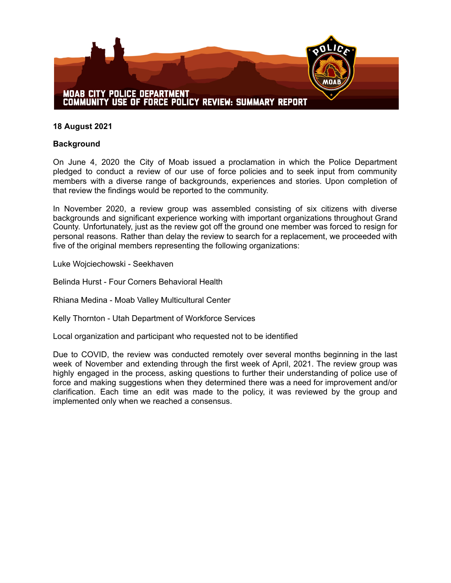

## **18 August 2021**

## **Background**

On June 4, 2020 the City of Moab issued a proclamation in which the Police Department pledged to conduct a review of our use of force policies and to seek input from community members with a diverse range of backgrounds, experiences and stories. Upon completion of that review the findings would be reported to the community.

In November 2020, a review group was assembled consisting of six citizens with diverse backgrounds and significant experience working with important organizations throughout Grand County. Unfortunately, just as the review got off the ground one member was forced to resign for personal reasons. Rather than delay the review to search for a replacement, we proceeded with five of the original members representing the following organizations:

Luke Wojciechowski - Seekhaven

Belinda Hurst - Four Corners Behavioral Health

Rhiana Medina - Moab Valley Multicultural Center

Kelly Thornton - Utah Department of Workforce Services

Local organization and participant who requested not to be identified

Due to COVID, the review was conducted remotely over several months beginning in the last week of November and extending through the first week of April, 2021. The review group was highly engaged in the process, asking questions to further their understanding of police use of force and making suggestions when they determined there was a need for improvement and/or clarification. Each time an edit was made to the policy, it was reviewed by the group and implemented only when we reached a consensus.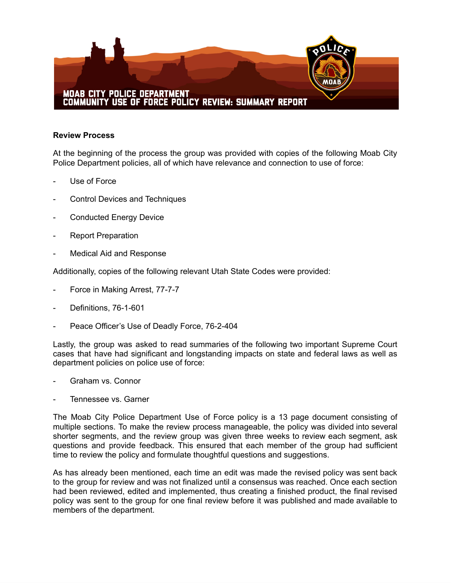

## **Review Process**

At the beginning of the process the group was provided with copies of the following Moab City Police Department policies, all of which have relevance and connection to use of force:

- Use of Force
- Control Devices and Techniques
- Conducted Energy Device
- Report Preparation
- Medical Aid and Response

Additionally, copies of the following relevant Utah State Codes were provided:

- Force in Making Arrest, 77-7-7
- Definitions, 76-1-601
- Peace Officer's Use of Deadly Force, 76-2-404

Lastly, the group was asked to read summaries of the following two important Supreme Court cases that have had significant and longstanding impacts on state and federal laws as well as department policies on police use of force:

- Graham vs. Connor
- Tennessee vs. Garner

The Moab City Police Department Use of Force policy is a 13 page document consisting of multiple sections. To make the review process manageable, the policy was divided into several shorter segments, and the review group was given three weeks to review each segment, ask questions and provide feedback. This ensured that each member of the group had sufficient time to review the policy and formulate thoughtful questions and suggestions.

As has already been mentioned, each time an edit was made the revised policy was sent back to the group for review and was not finalized until a consensus was reached. Once each section had been reviewed, edited and implemented, thus creating a finished product, the final revised policy was sent to the group for one final review before it was published and made available to members of the department.